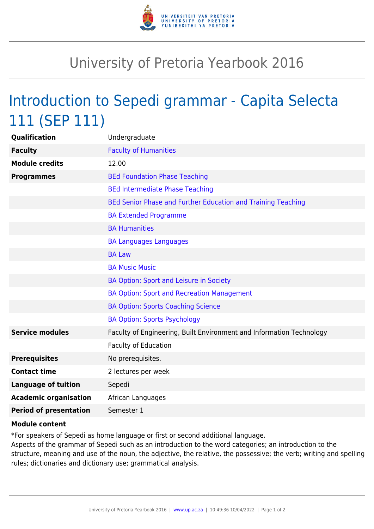

## University of Pretoria Yearbook 2016

## Introduction to Sepedi grammar - Capita Selecta 111 (SEP 111)

| Qualification                 | Undergraduate                                                        |
|-------------------------------|----------------------------------------------------------------------|
| <b>Faculty</b>                | <b>Faculty of Humanities</b>                                         |
| <b>Module credits</b>         | 12.00                                                                |
| <b>Programmes</b>             | <b>BEd Foundation Phase Teaching</b>                                 |
|                               | <b>BEd Intermediate Phase Teaching</b>                               |
|                               | BEd Senior Phase and Further Education and Training Teaching         |
|                               | <b>BA Extended Programme</b>                                         |
|                               | <b>BA Humanities</b>                                                 |
|                               | <b>BA Languages Languages</b>                                        |
|                               | <b>BA Law</b>                                                        |
|                               | <b>BA Music Music</b>                                                |
|                               | BA Option: Sport and Leisure in Society                              |
|                               | <b>BA Option: Sport and Recreation Management</b>                    |
|                               | <b>BA Option: Sports Coaching Science</b>                            |
|                               | <b>BA Option: Sports Psychology</b>                                  |
| <b>Service modules</b>        | Faculty of Engineering, Built Environment and Information Technology |
|                               | <b>Faculty of Education</b>                                          |
| <b>Prerequisites</b>          | No prerequisites.                                                    |
| <b>Contact time</b>           | 2 lectures per week                                                  |
| <b>Language of tuition</b>    | Sepedi                                                               |
| <b>Academic organisation</b>  | African Languages                                                    |
| <b>Period of presentation</b> | Semester 1                                                           |
|                               |                                                                      |

## **Module content**

\*For speakers of Sepedi as home language or first or second additional language.

Aspects of the grammar of Sepedi such as an introduction to the word categories; an introduction to the structure, meaning and use of the noun, the adjective, the relative, the possessive; the verb; writing and spelling rules; dictionaries and dictionary use; grammatical analysis.